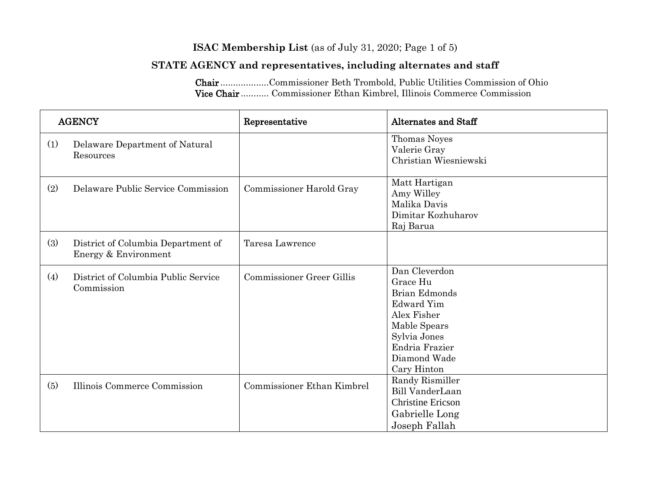#### **ISAC Membership List** (as of July 31, 2020; Page 1 of 5)

### **STATE AGENCY and representatives, including alternates and staff**

Chair ...................Commissioner Beth Trombold, Public Utilities Commission of Ohio Vice Chair ........... Commissioner Ethan Kimbrel, Illinois Commerce Commission

| <b>AGENCY</b> |                                                            | Representative                   | <b>Alternates and Staff</b>                                                                                                                                            |
|---------------|------------------------------------------------------------|----------------------------------|------------------------------------------------------------------------------------------------------------------------------------------------------------------------|
| (1)           | Delaware Department of Natural<br>Resources                |                                  | Thomas Noyes<br>Valerie Gray<br>Christian Wiesniewski                                                                                                                  |
| (2)           | Delaware Public Service Commission                         | Commissioner Harold Gray         | Matt Hartigan<br>Amy Willey<br>Malika Davis<br>Dimitar Kozhuharov<br>Raj Barua                                                                                         |
| (3)           | District of Columbia Department of<br>Energy & Environment | Taresa Lawrence                  |                                                                                                                                                                        |
| (4)           | District of Columbia Public Service<br>Commission          | <b>Commissioner Greer Gillis</b> | Dan Cleverdon<br>Grace Hu<br><b>Brian Edmonds</b><br><b>Edward Yim</b><br>Alex Fisher<br>Mable Spears<br>Sylvia Jones<br>Endria Frazier<br>Diamond Wade<br>Cary Hinton |
| (5)           | Illinois Commerce Commission                               | Commissioner Ethan Kimbrel       | Randy Rismiller<br>Bill VanderLaan<br><b>Christine Ericson</b><br>Gabrielle Long<br>Joseph Fallah                                                                      |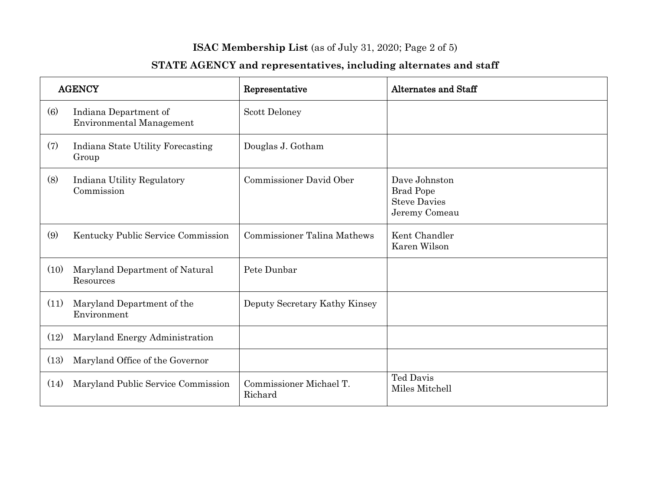## **ISAC Membership List** (as of July 31, 2020; Page 2 of 5)

| <b>AGENCY</b>     |                                                          | Representative                     | <b>Alternates and Staff</b>                                               |
|-------------------|----------------------------------------------------------|------------------------------------|---------------------------------------------------------------------------|
| $\left( 6\right)$ | Indiana Department of<br><b>Environmental Management</b> | Scott Deloney                      |                                                                           |
| (7)               | Indiana State Utility Forecasting<br>Group               | Douglas J. Gotham                  |                                                                           |
| (8)               | Indiana Utility Regulatory<br>Commission                 | Commissioner David Ober            | Dave Johnston<br><b>Brad Pope</b><br><b>Steve Davies</b><br>Jeremy Comeau |
| (9)               | Kentucky Public Service Commission                       | <b>Commissioner Talina Mathews</b> | Kent Chandler<br>Karen Wilson                                             |
| (10)              | Maryland Department of Natural<br>Resources              | Pete Dunbar                        |                                                                           |
| (11)              | Maryland Department of the<br>Environment                | Deputy Secretary Kathy Kinsey      |                                                                           |
| (12)              | Maryland Energy Administration                           |                                    |                                                                           |
| (13)              | Maryland Office of the Governor                          |                                    |                                                                           |
| (14)              | Maryland Public Service Commission                       | Commissioner Michael T.<br>Richard | Ted Davis<br>Miles Mitchell                                               |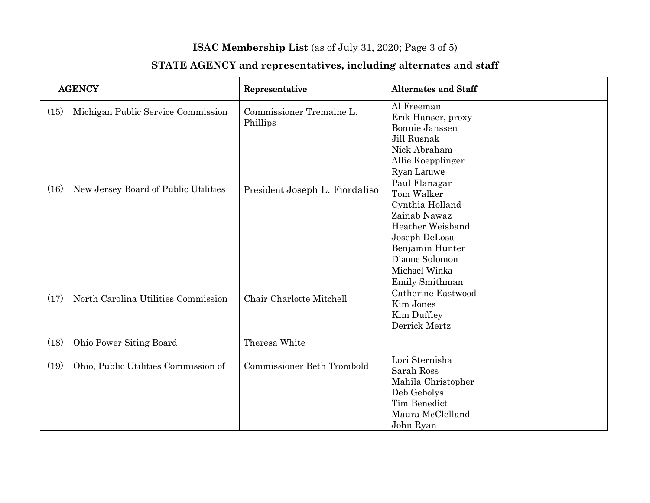## **ISAC Membership List** (as of July 31, 2020; Page 3 of 5)

| <b>AGENCY</b> |                                      | Representative                       | <b>Alternates and Staff</b>                                                                                                                                                                       |
|---------------|--------------------------------------|--------------------------------------|---------------------------------------------------------------------------------------------------------------------------------------------------------------------------------------------------|
| (15)          | Michigan Public Service Commission   | Commissioner Tremaine L.<br>Phillips | Al Freeman<br>Erik Hanser, proxy<br>Bonnie Janssen<br>Jill Rusnak<br>Nick Abraham<br>Allie Koepplinger<br><b>Ryan Laruwe</b>                                                                      |
| (16)          | New Jersey Board of Public Utilities | President Joseph L. Fiordaliso       | Paul Flanagan<br>Tom Walker<br>Cynthia Holland<br>Zainab Nawaz<br>Heather Weisband<br>Joseph DeLosa<br>Benjamin Hunter<br>Dianne Solomon<br>Michael Winka<br>Emily Smithman<br>Catherine Eastwood |
| (17)          | North Carolina Utilities Commission  | Chair Charlotte Mitchell             | Kim Jones<br>Kim Duffley<br>Derrick Mertz                                                                                                                                                         |
| (18)          | Ohio Power Siting Board              | Theresa White                        |                                                                                                                                                                                                   |
| (19)          | Ohio, Public Utilities Commission of | Commissioner Beth Trombold           | Lori Sternisha<br>Sarah Ross<br>Mahila Christopher<br>Deb Gebolys<br>Tim Benedict<br>Maura McClelland<br>John Ryan                                                                                |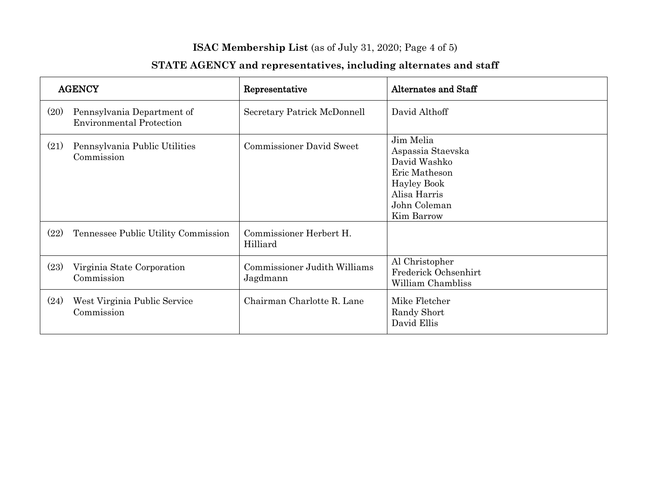## **ISAC Membership List** (as of July 31, 2020; Page 4 of 5)

| <b>AGENCY</b> |                                                               | Representative                           | Alternates and Staff                                                                                                                |
|---------------|---------------------------------------------------------------|------------------------------------------|-------------------------------------------------------------------------------------------------------------------------------------|
| (20)          | Pennsylvania Department of<br><b>Environmental Protection</b> | Secretary Patrick McDonnell              | David Althoff                                                                                                                       |
| (21)          | Pennsylvania Public Utilities<br>Commission                   | <b>Commissioner David Sweet</b>          | Jim Melia<br>Aspassia Staevska<br>David Washko<br>Eric Matheson<br><b>Hayley Book</b><br>Alisa Harris<br>John Coleman<br>Kim Barrow |
| (22)          | Tennessee Public Utility Commission                           | Commissioner Herbert H.<br>Hilliard      |                                                                                                                                     |
| (23)          | Virginia State Corporation<br>Commission                      | Commissioner Judith Williams<br>Jagdmann | Al Christopher<br>Frederick Ochsenhirt<br>William Chambliss                                                                         |
| (24)          | West Virginia Public Service<br>Commission                    | Chairman Charlotte R. Lane               | Mike Fletcher<br>Randy Short<br>David Ellis                                                                                         |